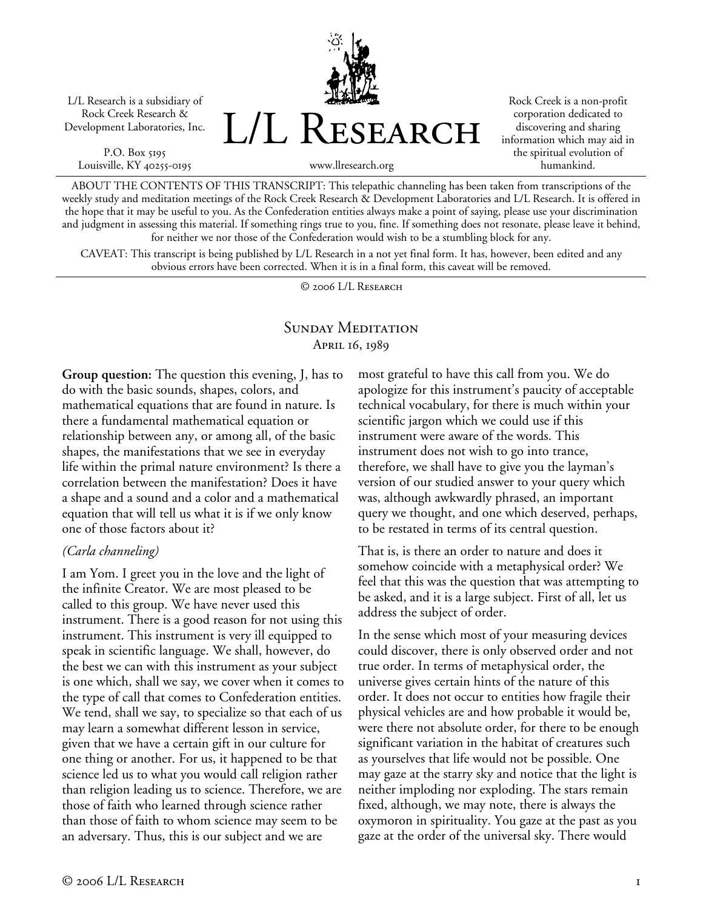L/L Research is a subsidiary of Rock Creek Research & Development Laboratories, Inc.

P.O. Box 5195 Louisville, KY 40255-0195 L/L Research

Rock Creek is a non-profit corporation dedicated to discovering and sharing information which may aid in the spiritual evolution of humankind.

ABOUT THE CONTENTS OF THIS TRANSCRIPT: This telepathic channeling has been taken from transcriptions of the weekly study and meditation meetings of the Rock Creek Research & Development Laboratories and L/L Research. It is offered in the hope that it may be useful to you. As the Confederation entities always make a point of saying, please use your discrimination and judgment in assessing this material. If something rings true to you, fine. If something does not resonate, please leave it behind, for neither we nor those of the Confederation would wish to be a stumbling block for any.

www.llresearch.org

CAVEAT: This transcript is being published by L/L Research in a not yet final form. It has, however, been edited and any obvious errors have been corrected. When it is in a final form, this caveat will be removed.

© 2006 L/L Research

# SUNDAY MEDITATION April 16, 1989

**Group question:** The question this evening, J, has to do with the basic sounds, shapes, colors, and mathematical equations that are found in nature. Is there a fundamental mathematical equation or relationship between any, or among all, of the basic shapes, the manifestations that we see in everyday life within the primal nature environment? Is there a correlation between the manifestation? Does it have a shape and a sound and a color and a mathematical equation that will tell us what it is if we only know one of those factors about it?

#### *(Carla channeling)*

I am Yom. I greet you in the love and the light of the infinite Creator. We are most pleased to be called to this group. We have never used this instrument. There is a good reason for not using this instrument. This instrument is very ill equipped to speak in scientific language. We shall, however, do the best we can with this instrument as your subject is one which, shall we say, we cover when it comes to the type of call that comes to Confederation entities. We tend, shall we say, to specialize so that each of us may learn a somewhat different lesson in service, given that we have a certain gift in our culture for one thing or another. For us, it happened to be that science led us to what you would call religion rather than religion leading us to science. Therefore, we are those of faith who learned through science rather than those of faith to whom science may seem to be an adversary. Thus, this is our subject and we are

most grateful to have this call from you. We do apologize for this instrument's paucity of acceptable technical vocabulary, for there is much within your scientific jargon which we could use if this instrument were aware of the words. This instrument does not wish to go into trance, therefore, we shall have to give you the layman's version of our studied answer to your query which was, although awkwardly phrased, an important query we thought, and one which deserved, perhaps, to be restated in terms of its central question.

That is, is there an order to nature and does it somehow coincide with a metaphysical order? We feel that this was the question that was attempting to be asked, and it is a large subject. First of all, let us address the subject of order.

In the sense which most of your measuring devices could discover, there is only observed order and not true order. In terms of metaphysical order, the universe gives certain hints of the nature of this order. It does not occur to entities how fragile their physical vehicles are and how probable it would be, were there not absolute order, for there to be enough significant variation in the habitat of creatures such as yourselves that life would not be possible. One may gaze at the starry sky and notice that the light is neither imploding nor exploding. The stars remain fixed, although, we may note, there is always the oxymoron in spirituality. You gaze at the past as you gaze at the order of the universal sky. There would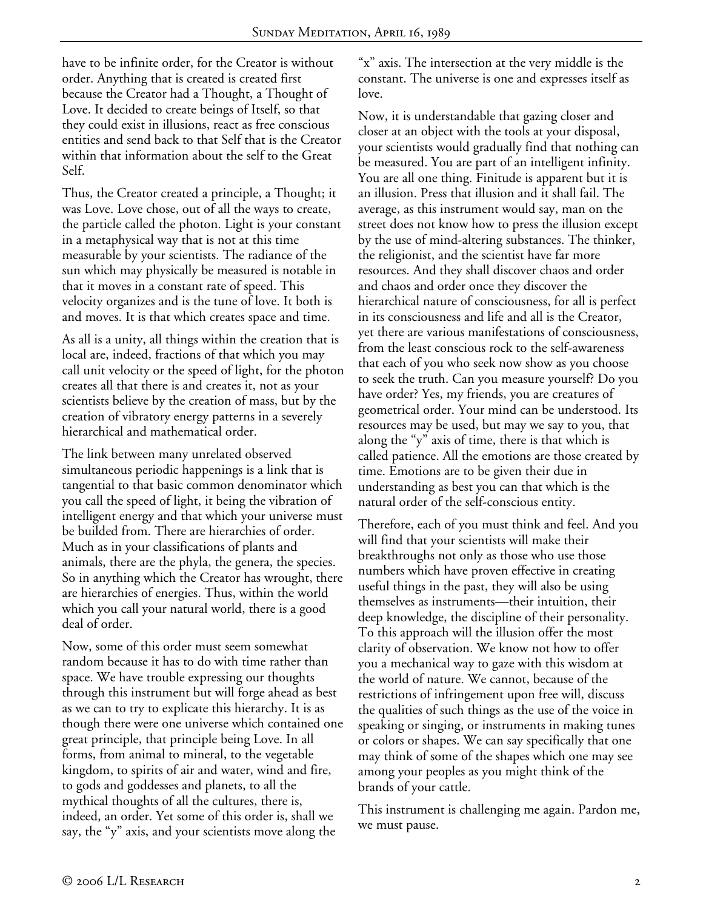have to be infinite order, for the Creator is without order. Anything that is created is created first because the Creator had a Thought, a Thought of Love. It decided to create beings of Itself, so that they could exist in illusions, react as free conscious entities and send back to that Self that is the Creator within that information about the self to the Great Self.

Thus, the Creator created a principle, a Thought; it was Love. Love chose, out of all the ways to create, the particle called the photon. Light is your constant in a metaphysical way that is not at this time measurable by your scientists. The radiance of the sun which may physically be measured is notable in that it moves in a constant rate of speed. This velocity organizes and is the tune of love. It both is and moves. It is that which creates space and time.

As all is a unity, all things within the creation that is local are, indeed, fractions of that which you may call unit velocity or the speed of light, for the photon creates all that there is and creates it, not as your scientists believe by the creation of mass, but by the creation of vibratory energy patterns in a severely hierarchical and mathematical order.

The link between many unrelated observed simultaneous periodic happenings is a link that is tangential to that basic common denominator which you call the speed of light, it being the vibration of intelligent energy and that which your universe must be builded from. There are hierarchies of order. Much as in your classifications of plants and animals, there are the phyla, the genera, the species. So in anything which the Creator has wrought, there are hierarchies of energies. Thus, within the world which you call your natural world, there is a good deal of order.

Now, some of this order must seem somewhat random because it has to do with time rather than space. We have trouble expressing our thoughts through this instrument but will forge ahead as best as we can to try to explicate this hierarchy. It is as though there were one universe which contained one great principle, that principle being Love. In all forms, from animal to mineral, to the vegetable kingdom, to spirits of air and water, wind and fire, to gods and goddesses and planets, to all the mythical thoughts of all the cultures, there is, indeed, an order. Yet some of this order is, shall we say, the "y" axis, and your scientists move along the

"x" axis. The intersection at the very middle is the constant. The universe is one and expresses itself as love.

Now, it is understandable that gazing closer and closer at an object with the tools at your disposal, your scientists would gradually find that nothing can be measured. You are part of an intelligent infinity. You are all one thing. Finitude is apparent but it is an illusion. Press that illusion and it shall fail. The average, as this instrument would say, man on the street does not know how to press the illusion except by the use of mind-altering substances. The thinker, the religionist, and the scientist have far more resources. And they shall discover chaos and order and chaos and order once they discover the hierarchical nature of consciousness, for all is perfect in its consciousness and life and all is the Creator, yet there are various manifestations of consciousness, from the least conscious rock to the self-awareness that each of you who seek now show as you choose to seek the truth. Can you measure yourself? Do you have order? Yes, my friends, you are creatures of geometrical order. Your mind can be understood. Its resources may be used, but may we say to you, that along the "y" axis of time, there is that which is called patience. All the emotions are those created by time. Emotions are to be given their due in understanding as best you can that which is the natural order of the self-conscious entity.

Therefore, each of you must think and feel. And you will find that your scientists will make their breakthroughs not only as those who use those numbers which have proven effective in creating useful things in the past, they will also be using themselves as instruments—their intuition, their deep knowledge, the discipline of their personality. To this approach will the illusion offer the most clarity of observation. We know not how to offer you a mechanical way to gaze with this wisdom at the world of nature. We cannot, because of the restrictions of infringement upon free will, discuss the qualities of such things as the use of the voice in speaking or singing, or instruments in making tunes or colors or shapes. We can say specifically that one may think of some of the shapes which one may see among your peoples as you might think of the brands of your cattle.

This instrument is challenging me again. Pardon me, we must pause.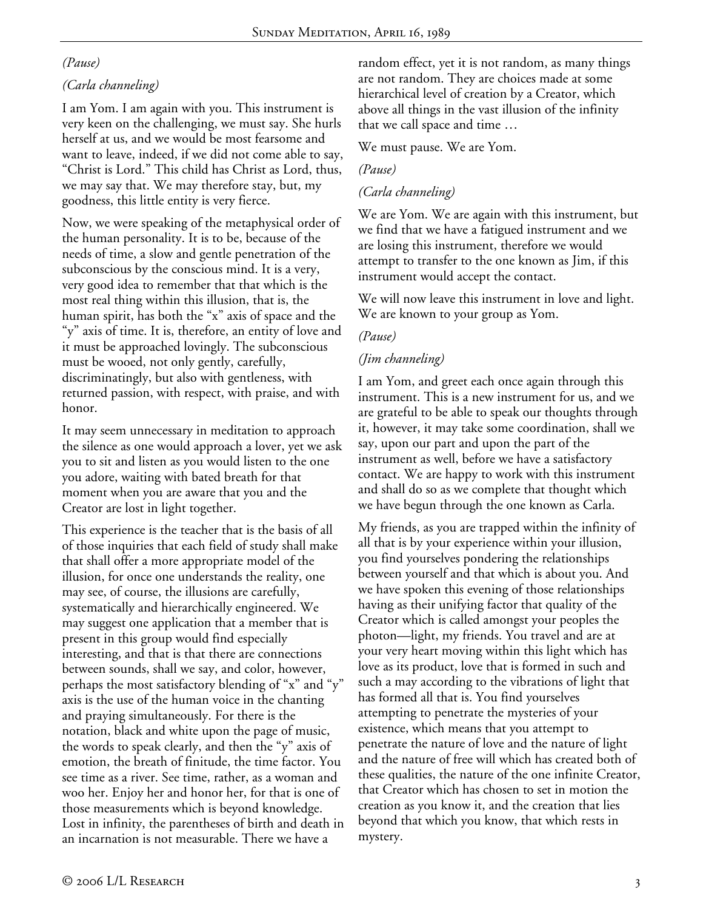# *(Pause)*

# *(Carla channeling)*

I am Yom. I am again with you. This instrument is very keen on the challenging, we must say. She hurls herself at us, and we would be most fearsome and want to leave, indeed, if we did not come able to say, "Christ is Lord." This child has Christ as Lord, thus, we may say that. We may therefore stay, but, my goodness, this little entity is very fierce.

Now, we were speaking of the metaphysical order of the human personality. It is to be, because of the needs of time, a slow and gentle penetration of the subconscious by the conscious mind. It is a very, very good idea to remember that that which is the most real thing within this illusion, that is, the human spirit, has both the "x" axis of space and the "y" axis of time. It is, therefore, an entity of love and it must be approached lovingly. The subconscious must be wooed, not only gently, carefully, discriminatingly, but also with gentleness, with returned passion, with respect, with praise, and with honor.

It may seem unnecessary in meditation to approach the silence as one would approach a lover, yet we ask you to sit and listen as you would listen to the one you adore, waiting with bated breath for that moment when you are aware that you and the Creator are lost in light together.

This experience is the teacher that is the basis of all of those inquiries that each field of study shall make that shall offer a more appropriate model of the illusion, for once one understands the reality, one may see, of course, the illusions are carefully, systematically and hierarchically engineered. We may suggest one application that a member that is present in this group would find especially interesting, and that is that there are connections between sounds, shall we say, and color, however, perhaps the most satisfactory blending of "x" and "y" axis is the use of the human voice in the chanting and praying simultaneously. For there is the notation, black and white upon the page of music, the words to speak clearly, and then the "y" axis of emotion, the breath of finitude, the time factor. You see time as a river. See time, rather, as a woman and woo her. Enjoy her and honor her, for that is one of those measurements which is beyond knowledge. Lost in infinity, the parentheses of birth and death in an incarnation is not measurable. There we have a

random effect, yet it is not random, as many things are not random. They are choices made at some hierarchical level of creation by a Creator, which above all things in the vast illusion of the infinity that we call space and time …

#### We must pause. We are Yom.

### *(Pause)*

## *(Carla channeling)*

We are Yom. We are again with this instrument, but we find that we have a fatigued instrument and we are losing this instrument, therefore we would attempt to transfer to the one known as Jim, if this instrument would accept the contact.

We will now leave this instrument in love and light. We are known to your group as Yom.

### *(Pause)*

### *(Jim channeling)*

I am Yom, and greet each once again through this instrument. This is a new instrument for us, and we are grateful to be able to speak our thoughts through it, however, it may take some coordination, shall we say, upon our part and upon the part of the instrument as well, before we have a satisfactory contact. We are happy to work with this instrument and shall do so as we complete that thought which we have begun through the one known as Carla.

My friends, as you are trapped within the infinity of all that is by your experience within your illusion, you find yourselves pondering the relationships between yourself and that which is about you. And we have spoken this evening of those relationships having as their unifying factor that quality of the Creator which is called amongst your peoples the photon—light, my friends. You travel and are at your very heart moving within this light which has love as its product, love that is formed in such and such a may according to the vibrations of light that has formed all that is. You find yourselves attempting to penetrate the mysteries of your existence, which means that you attempt to penetrate the nature of love and the nature of light and the nature of free will which has created both of these qualities, the nature of the one infinite Creator, that Creator which has chosen to set in motion the creation as you know it, and the creation that lies beyond that which you know, that which rests in mystery.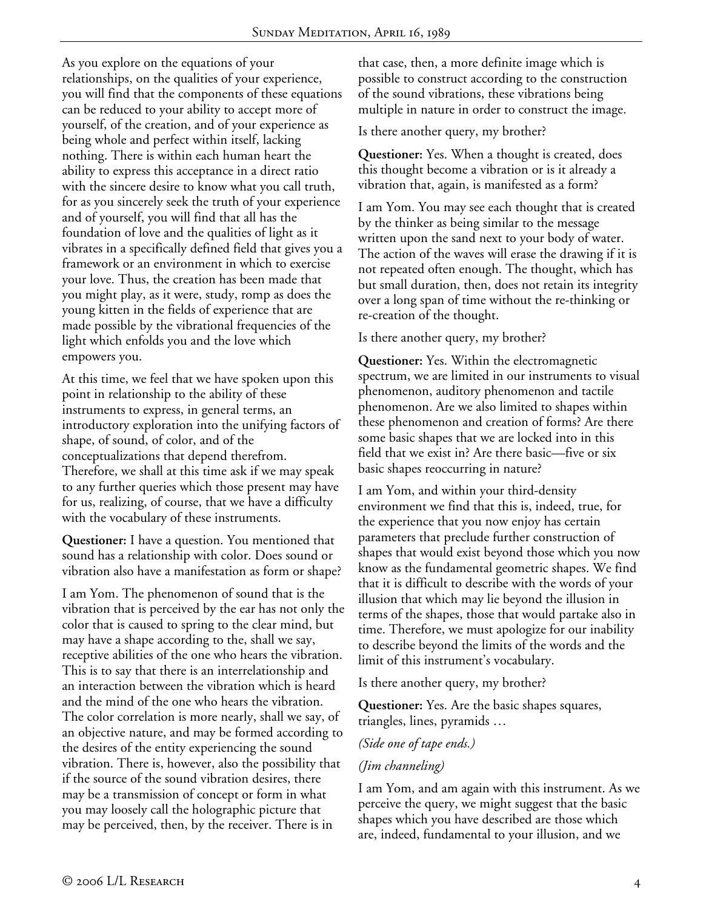As you explore on the equations of your relationships, on the qualities of your experience, you will find that the components of these equations can be reduced to your ability to accept more of yourself, of the creation, and of your experience as being whole and perfect within itself, lacking nothing. There is within each human heart the ability to express this acceptance in a direct ratio with the sincere desire to know what you call truth, for as you sincerely seek the truth of your experience and of yourself, you will find that all has the foundation of love and the qualities of light as it vibrates in a specifically defined field that gives you a framework or an environment in which to exercise your love. Thus, the creation has been made that you might play, as it were, study, romp as does the young kitten in the fields of experience that are made possible by the vibrational frequencies of the light which enfolds you and the love which empowers you.

At this time, we feel that we have spoken upon this point in relationship to the ability of these instruments to express, in general terms, an introductory exploration into the unifying factors of shape, of sound, of color, and of the conceptualizations that depend therefrom. Therefore, we shall at this time ask if we may speak to any further queries which those present may have for us, realizing, of course, that we have a difficulty with the vocabulary of these instruments.

**Questioner:** I have a question. You mentioned that sound has a relationship with color. Does sound or vibration also have a manifestation as form or shape?

I am Yom. The phenomenon of sound that is the vibration that is perceived by the ear has not only the color that is caused to spring to the clear mind, but may have a shape according to the, shall we say, receptive abilities of the one who hears the vibration. This is to say that there is an interrelationship and an interaction between the vibration which is heard and the mind of the one who hears the vibration. The color correlation is more nearly, shall we say, of an objective nature, and may be formed according to the desires of the entity experiencing the sound vibration. There is, however, also the possibility that if the source of the sound vibration desires, there may be a transmission of concept or form in what you may loosely call the holographic picture that may be perceived, then, by the receiver. There is in

that case, then, a more definite image which is possible to construct according to the construction of the sound vibrations, these vibrations being multiple in nature in order to construct the image.

Is there another query, my brother?

**Questioner:** Yes. When a thought is created, does this thought become a vibration or is it already a vibration that, again, is manifested as a form?

I am Yom. You may see each thought that is created by the thinker as being similar to the message written upon the sand next to your body of water. The action of the waves will erase the drawing if it is not repeated often enough. The thought, which has but small duration, then, does not retain its integrity over a long span of time without the re-thinking or re-creation of the thought.

Is there another query, my brother?

**Questioner:** Yes. Within the electromagnetic spectrum, we are limited in our instruments to visual phenomenon, auditory phenomenon and tactile phenomenon. Are we also limited to shapes within these phenomenon and creation of forms? Are there some basic shapes that we are locked into in this field that we exist in? Are there basic—five or six basic shapes reoccurring in nature?

I am Yom, and within your third-density environment we find that this is, indeed, true, for the experience that you now enjoy has certain parameters that preclude further construction of shapes that would exist beyond those which you now know as the fundamental geometric shapes. We find that it is difficult to describe with the words of your illusion that which may lie beyond the illusion in terms of the shapes, those that would partake also in time. Therefore, we must apologize for our inability to describe beyond the limits of the words and the limit of this instrument's vocabulary.

Is there another query, my brother?

**Questioner:** Yes. Are the basic shapes squares, triangles, lines, pyramids …

*(Side one of tape ends.)* 

## *(Jim channeling)*

I am Yom, and am again with this instrument. As we perceive the query, we might suggest that the basic shapes which you have described are those which are, indeed, fundamental to your illusion, and we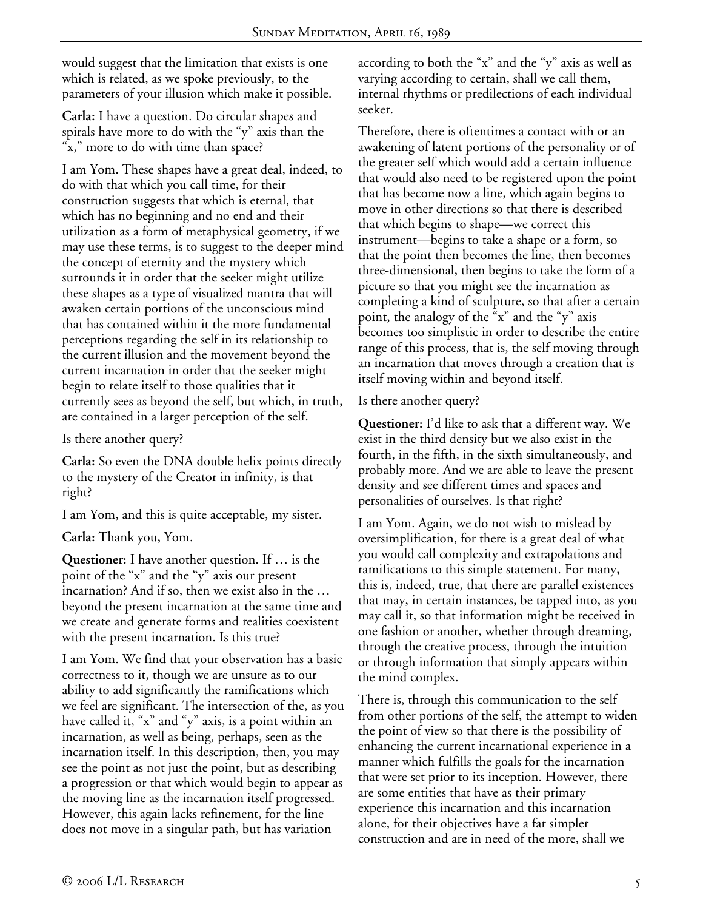would suggest that the limitation that exists is one which is related, as we spoke previously, to the parameters of your illusion which make it possible.

**Carla:** I have a question. Do circular shapes and spirals have more to do with the "y" axis than the "x," more to do with time than space?

I am Yom. These shapes have a great deal, indeed, to do with that which you call time, for their construction suggests that which is eternal, that which has no beginning and no end and their utilization as a form of metaphysical geometry, if we may use these terms, is to suggest to the deeper mind the concept of eternity and the mystery which surrounds it in order that the seeker might utilize these shapes as a type of visualized mantra that will awaken certain portions of the unconscious mind that has contained within it the more fundamental perceptions regarding the self in its relationship to the current illusion and the movement beyond the current incarnation in order that the seeker might begin to relate itself to those qualities that it currently sees as beyond the self, but which, in truth, are contained in a larger perception of the self.

Is there another query?

**Carla:** So even the DNA double helix points directly to the mystery of the Creator in infinity, is that right?

I am Yom, and this is quite acceptable, my sister.

**Carla:** Thank you, Yom.

**Questioner:** I have another question. If … is the point of the "x" and the "y" axis our present incarnation? And if so, then we exist also in the … beyond the present incarnation at the same time and we create and generate forms and realities coexistent with the present incarnation. Is this true?

I am Yom. We find that your observation has a basic correctness to it, though we are unsure as to our ability to add significantly the ramifications which we feel are significant. The intersection of the, as you have called it, "x" and "y" axis, is a point within an incarnation, as well as being, perhaps, seen as the incarnation itself. In this description, then, you may see the point as not just the point, but as describing a progression or that which would begin to appear as the moving line as the incarnation itself progressed. However, this again lacks refinement, for the line does not move in a singular path, but has variation

according to both the "x" and the "y" axis as well as varying according to certain, shall we call them, internal rhythms or predilections of each individual seeker.

Therefore, there is oftentimes a contact with or an awakening of latent portions of the personality or of the greater self which would add a certain influence that would also need to be registered upon the point that has become now a line, which again begins to move in other directions so that there is described that which begins to shape—we correct this instrument—begins to take a shape or a form, so that the point then becomes the line, then becomes three-dimensional, then begins to take the form of a picture so that you might see the incarnation as completing a kind of sculpture, so that after a certain point, the analogy of the "x" and the "y" axis becomes too simplistic in order to describe the entire range of this process, that is, the self moving through an incarnation that moves through a creation that is itself moving within and beyond itself.

Is there another query?

**Questioner:** I'd like to ask that a different way. We exist in the third density but we also exist in the fourth, in the fifth, in the sixth simultaneously, and probably more. And we are able to leave the present density and see different times and spaces and personalities of ourselves. Is that right?

I am Yom. Again, we do not wish to mislead by oversimplification, for there is a great deal of what you would call complexity and extrapolations and ramifications to this simple statement. For many, this is, indeed, true, that there are parallel existences that may, in certain instances, be tapped into, as you may call it, so that information might be received in one fashion or another, whether through dreaming, through the creative process, through the intuition or through information that simply appears within the mind complex.

There is, through this communication to the self from other portions of the self, the attempt to widen the point of view so that there is the possibility of enhancing the current incarnational experience in a manner which fulfills the goals for the incarnation that were set prior to its inception. However, there are some entities that have as their primary experience this incarnation and this incarnation alone, for their objectives have a far simpler construction and are in need of the more, shall we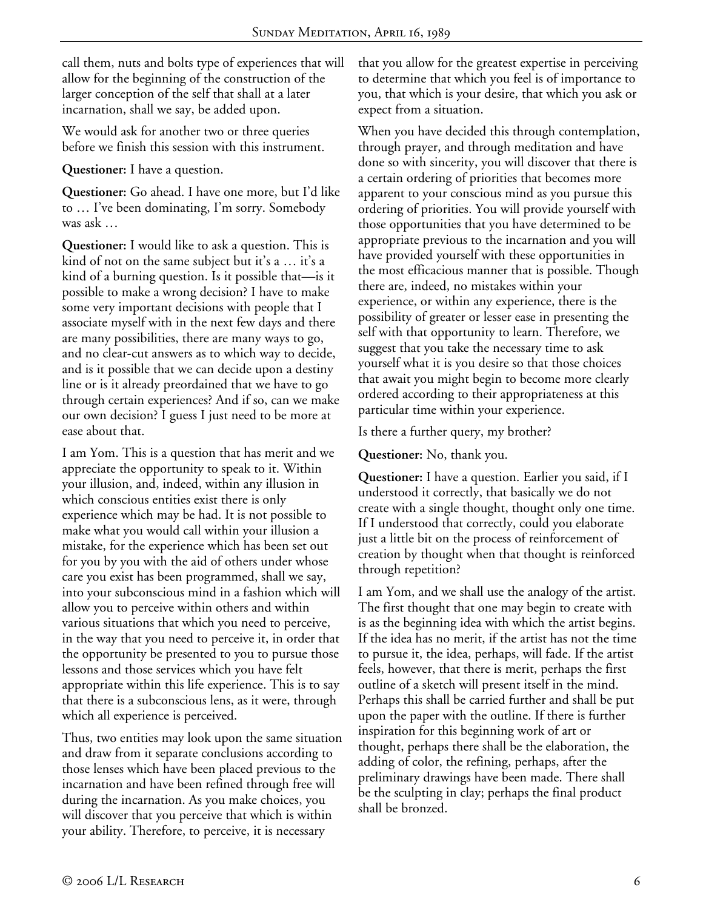call them, nuts and bolts type of experiences that will allow for the beginning of the construction of the larger conception of the self that shall at a later incarnation, shall we say, be added upon.

We would ask for another two or three queries before we finish this session with this instrument.

**Questioner:** I have a question.

**Questioner:** Go ahead. I have one more, but I'd like to … I've been dominating, I'm sorry. Somebody was ask …

**Questioner:** I would like to ask a question. This is kind of not on the same subject but it's a … it's a kind of a burning question. Is it possible that—is it possible to make a wrong decision? I have to make some very important decisions with people that I associate myself with in the next few days and there are many possibilities, there are many ways to go, and no clear-cut answers as to which way to decide, and is it possible that we can decide upon a destiny line or is it already preordained that we have to go through certain experiences? And if so, can we make our own decision? I guess I just need to be more at ease about that.

I am Yom. This is a question that has merit and we appreciate the opportunity to speak to it. Within your illusion, and, indeed, within any illusion in which conscious entities exist there is only experience which may be had. It is not possible to make what you would call within your illusion a mistake, for the experience which has been set out for you by you with the aid of others under whose care you exist has been programmed, shall we say, into your subconscious mind in a fashion which will allow you to perceive within others and within various situations that which you need to perceive, in the way that you need to perceive it, in order that the opportunity be presented to you to pursue those lessons and those services which you have felt appropriate within this life experience. This is to say that there is a subconscious lens, as it were, through which all experience is perceived.

Thus, two entities may look upon the same situation and draw from it separate conclusions according to those lenses which have been placed previous to the incarnation and have been refined through free will during the incarnation. As you make choices, you will discover that you perceive that which is within your ability. Therefore, to perceive, it is necessary

that you allow for the greatest expertise in perceiving to determine that which you feel is of importance to you, that which is your desire, that which you ask or expect from a situation.

When you have decided this through contemplation, through prayer, and through meditation and have done so with sincerity, you will discover that there is a certain ordering of priorities that becomes more apparent to your conscious mind as you pursue this ordering of priorities. You will provide yourself with those opportunities that you have determined to be appropriate previous to the incarnation and you will have provided yourself with these opportunities in the most efficacious manner that is possible. Though there are, indeed, no mistakes within your experience, or within any experience, there is the possibility of greater or lesser ease in presenting the self with that opportunity to learn. Therefore, we suggest that you take the necessary time to ask yourself what it is you desire so that those choices that await you might begin to become more clearly ordered according to their appropriateness at this particular time within your experience.

Is there a further query, my brother?

**Questioner:** No, thank you.

**Questioner:** I have a question. Earlier you said, if I understood it correctly, that basically we do not create with a single thought, thought only one time. If I understood that correctly, could you elaborate just a little bit on the process of reinforcement of creation by thought when that thought is reinforced through repetition?

I am Yom, and we shall use the analogy of the artist. The first thought that one may begin to create with is as the beginning idea with which the artist begins. If the idea has no merit, if the artist has not the time to pursue it, the idea, perhaps, will fade. If the artist feels, however, that there is merit, perhaps the first outline of a sketch will present itself in the mind. Perhaps this shall be carried further and shall be put upon the paper with the outline. If there is further inspiration for this beginning work of art or thought, perhaps there shall be the elaboration, the adding of color, the refining, perhaps, after the preliminary drawings have been made. There shall be the sculpting in clay; perhaps the final product shall be bronzed.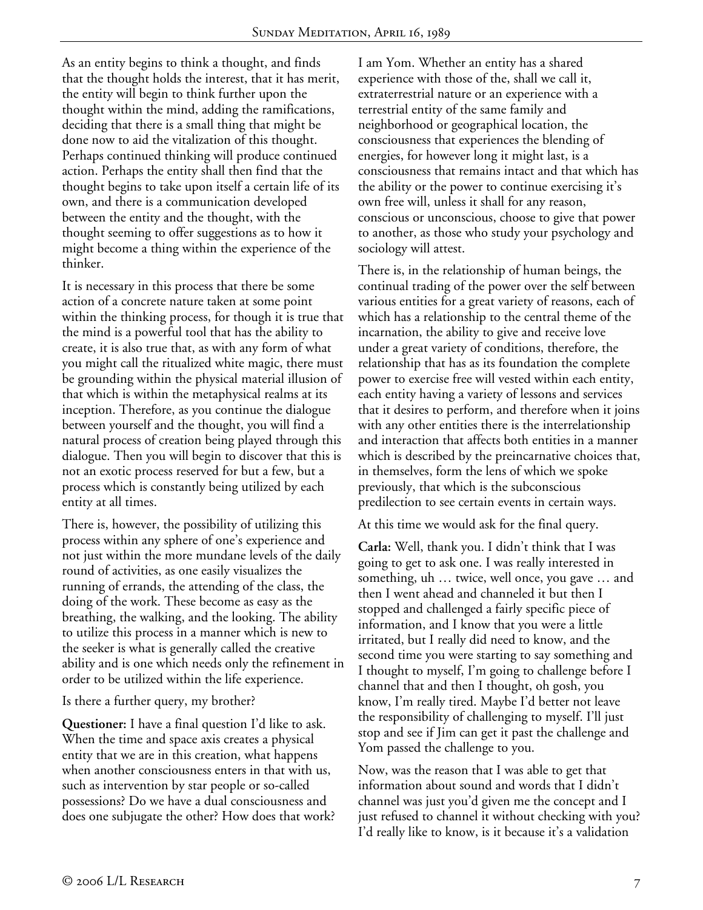As an entity begins to think a thought, and finds that the thought holds the interest, that it has merit, the entity will begin to think further upon the thought within the mind, adding the ramifications, deciding that there is a small thing that might be done now to aid the vitalization of this thought. Perhaps continued thinking will produce continued action. Perhaps the entity shall then find that the thought begins to take upon itself a certain life of its own, and there is a communication developed between the entity and the thought, with the thought seeming to offer suggestions as to how it might become a thing within the experience of the thinker.

It is necessary in this process that there be some action of a concrete nature taken at some point within the thinking process, for though it is true that the mind is a powerful tool that has the ability to create, it is also true that, as with any form of what you might call the ritualized white magic, there must be grounding within the physical material illusion of that which is within the metaphysical realms at its inception. Therefore, as you continue the dialogue between yourself and the thought, you will find a natural process of creation being played through this dialogue. Then you will begin to discover that this is not an exotic process reserved for but a few, but a process which is constantly being utilized by each entity at all times.

There is, however, the possibility of utilizing this process within any sphere of one's experience and not just within the more mundane levels of the daily round of activities, as one easily visualizes the running of errands, the attending of the class, the doing of the work. These become as easy as the breathing, the walking, and the looking. The ability to utilize this process in a manner which is new to the seeker is what is generally called the creative ability and is one which needs only the refinement in order to be utilized within the life experience.

Is there a further query, my brother?

**Questioner:** I have a final question I'd like to ask. When the time and space axis creates a physical entity that we are in this creation, what happens when another consciousness enters in that with us, such as intervention by star people or so-called possessions? Do we have a dual consciousness and does one subjugate the other? How does that work? I am Yom. Whether an entity has a shared experience with those of the, shall we call it, extraterrestrial nature or an experience with a terrestrial entity of the same family and neighborhood or geographical location, the consciousness that experiences the blending of energies, for however long it might last, is a consciousness that remains intact and that which has the ability or the power to continue exercising it's own free will, unless it shall for any reason, conscious or unconscious, choose to give that power to another, as those who study your psychology and sociology will attest.

There is, in the relationship of human beings, the continual trading of the power over the self between various entities for a great variety of reasons, each of which has a relationship to the central theme of the incarnation, the ability to give and receive love under a great variety of conditions, therefore, the relationship that has as its foundation the complete power to exercise free will vested within each entity, each entity having a variety of lessons and services that it desires to perform, and therefore when it joins with any other entities there is the interrelationship and interaction that affects both entities in a manner which is described by the preincarnative choices that, in themselves, form the lens of which we spoke previously, that which is the subconscious predilection to see certain events in certain ways.

At this time we would ask for the final query.

**Carla:** Well, thank you. I didn't think that I was going to get to ask one. I was really interested in something, uh … twice, well once, you gave … and then I went ahead and channeled it but then I stopped and challenged a fairly specific piece of information, and I know that you were a little irritated, but I really did need to know, and the second time you were starting to say something and I thought to myself, I'm going to challenge before I channel that and then I thought, oh gosh, you know, I'm really tired. Maybe I'd better not leave the responsibility of challenging to myself. I'll just stop and see if Jim can get it past the challenge and Yom passed the challenge to you.

Now, was the reason that I was able to get that information about sound and words that I didn't channel was just you'd given me the concept and I just refused to channel it without checking with you? I'd really like to know, is it because it's a validation